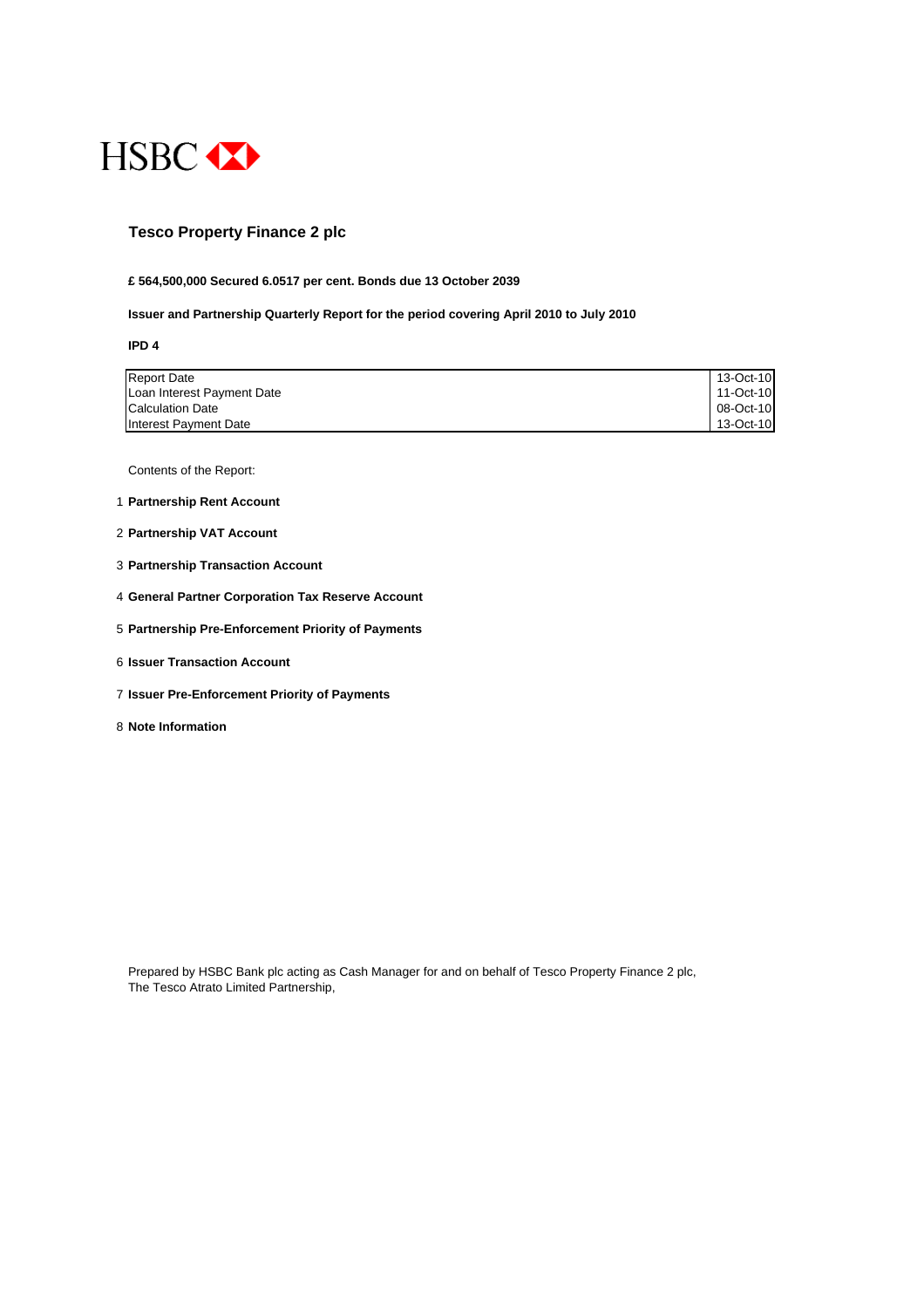

## **Tesco Property Finance 2 plc**

#### **£ 564,500,000 Secured 6.0517 per cent. Bonds due 13 October 2039**

#### **Issuer and Partnership Quarterly Report for the period covering April 2010 to July 2010**

**IPD 4**

| <b>Report Date</b>         | 13-Oct-10 |
|----------------------------|-----------|
| Loan Interest Payment Date | 11-Oct-10 |
| <b>Calculation Date</b>    | 08-Oct-10 |
| Interest Payment Date      | 13-Oct-10 |

Contents of the Report:

- 1 **Partnership Rent Account**
- 2 **Partnership VAT Account**
- 3 **Partnership Transaction Account**
- 4 **General Partner Corporation Tax Reserve Account**
- 5 **Partnership Pre-Enforcement Priority of Payments**
- 6 **Issuer Transaction Account**
- 7 **Issuer Pre-Enforcement Priority of Payments**
- 8 **Note Information**

Prepared by HSBC Bank plc acting as Cash Manager for and on behalf of Tesco Property Finance 2 plc, The Tesco Atrato Limited Partnership,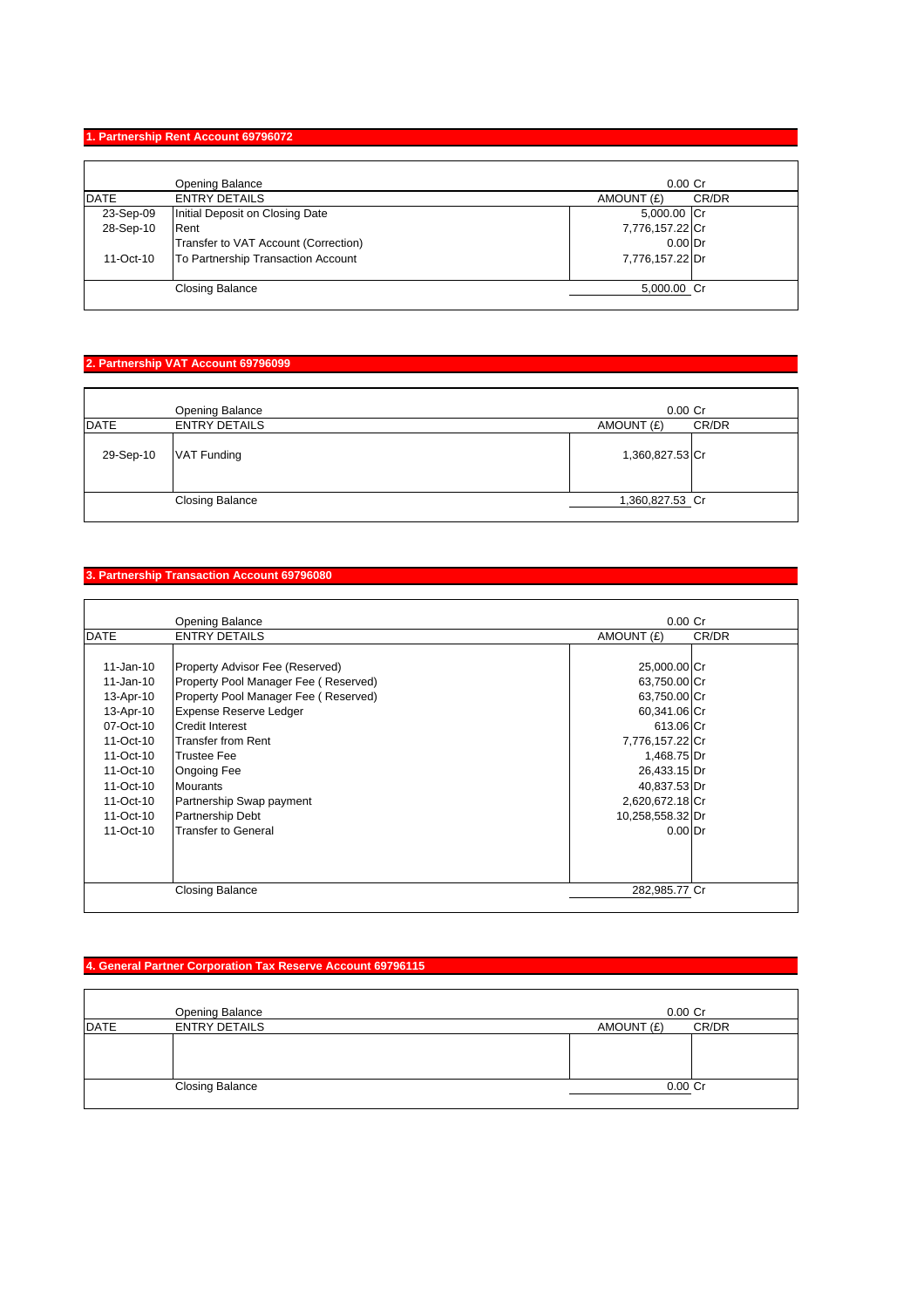## **1. Partnership Rent Account 69796072**

|             | Opening Balance                      | $0.00$ Cr           |
|-------------|--------------------------------------|---------------------|
| <b>DATE</b> | <b>ENTRY DETAILS</b>                 | CR/DR<br>AMOUNT (£) |
| 23-Sep-09   | Initial Deposit on Closing Date      | 5,000.00 Cr         |
| 28-Sep-10   | Rent                                 | 7,776,157.22 Cr     |
|             | Transfer to VAT Account (Correction) | $0.00$ Dr           |
| 11-Oct-10   | To Partnership Transaction Account   | 7,776,157.22 Dr     |
|             | <b>Closing Balance</b>               | 5,000.00 Cr         |

# **2. Partnership VAT Account 69796099**

|             | Opening Balance        | $0.00$ $Cr$     |       |
|-------------|------------------------|-----------------|-------|
| <b>DATE</b> | <b>ENTRY DETAILS</b>   | AMOUNT (£)      | CR/DR |
| 29-Sep-10   | VAT Funding            | 1,360,827.53 Cr |       |
|             | <b>Closing Balance</b> | 1,360,827.53 Cr |       |

## **3. Partnership Transaction Account 69796080**

|                                                                                                                                                 | <b>Opening Balance</b>                                                                                                                                                                                                                                                                            | $0.00$ Cr                                                                                                                                                                          |       |
|-------------------------------------------------------------------------------------------------------------------------------------------------|---------------------------------------------------------------------------------------------------------------------------------------------------------------------------------------------------------------------------------------------------------------------------------------------------|------------------------------------------------------------------------------------------------------------------------------------------------------------------------------------|-------|
| <b>DATE</b>                                                                                                                                     | <b>ENTRY DETAILS</b>                                                                                                                                                                                                                                                                              | AMOUNT (£)                                                                                                                                                                         | CR/DR |
| $11 - Jan-10$<br>11-Jan-10<br>13-Apr-10<br>13-Apr-10<br>07-Oct-10<br>11-Oct-10<br>11-Oct-10<br>11-Oct-10<br>11-Oct-10<br>11-Oct-10<br>11-Oct-10 | Property Advisor Fee (Reserved)<br>Property Pool Manager Fee (Reserved)<br>Property Pool Manager Fee (Reserved)<br><b>Expense Reserve Ledger</b><br>Credit Interest<br>Transfer from Rent<br><b>Trustee Fee</b><br>Ongoing Fee<br><b>Mourants</b><br>Partnership Swap payment<br>Partnership Debt | 25,000.00 Cr<br>63,750.00 Cr<br>63,750.00 Cr<br>60,341.06 Cr<br>613.06 Cr<br>7,776,157.22 Cr<br>1,468.75 Dr<br>26,433.15 Dr<br>40,837.53 Dr<br>2,620,672.18 Cr<br>10,258,558.32 Dr |       |
| 11-Oct-10                                                                                                                                       | Transfer to General<br><b>Closing Balance</b>                                                                                                                                                                                                                                                     | $0.00$ Dr<br>282,985.77 Cr                                                                                                                                                         |       |

# **4. General Partner Corporation Tax Reserve Account 69796115**

|             | Opening Balance        | $0.00$ $Cr$ |       |
|-------------|------------------------|-------------|-------|
| <b>DATE</b> | <b>ENTRY DETAILS</b>   | AMOUNT (£)  | CR/DR |
|             |                        |             |       |
|             |                        |             |       |
|             |                        |             |       |
|             | <b>Closing Balance</b> | $0.00$ Cr   |       |
|             |                        |             |       |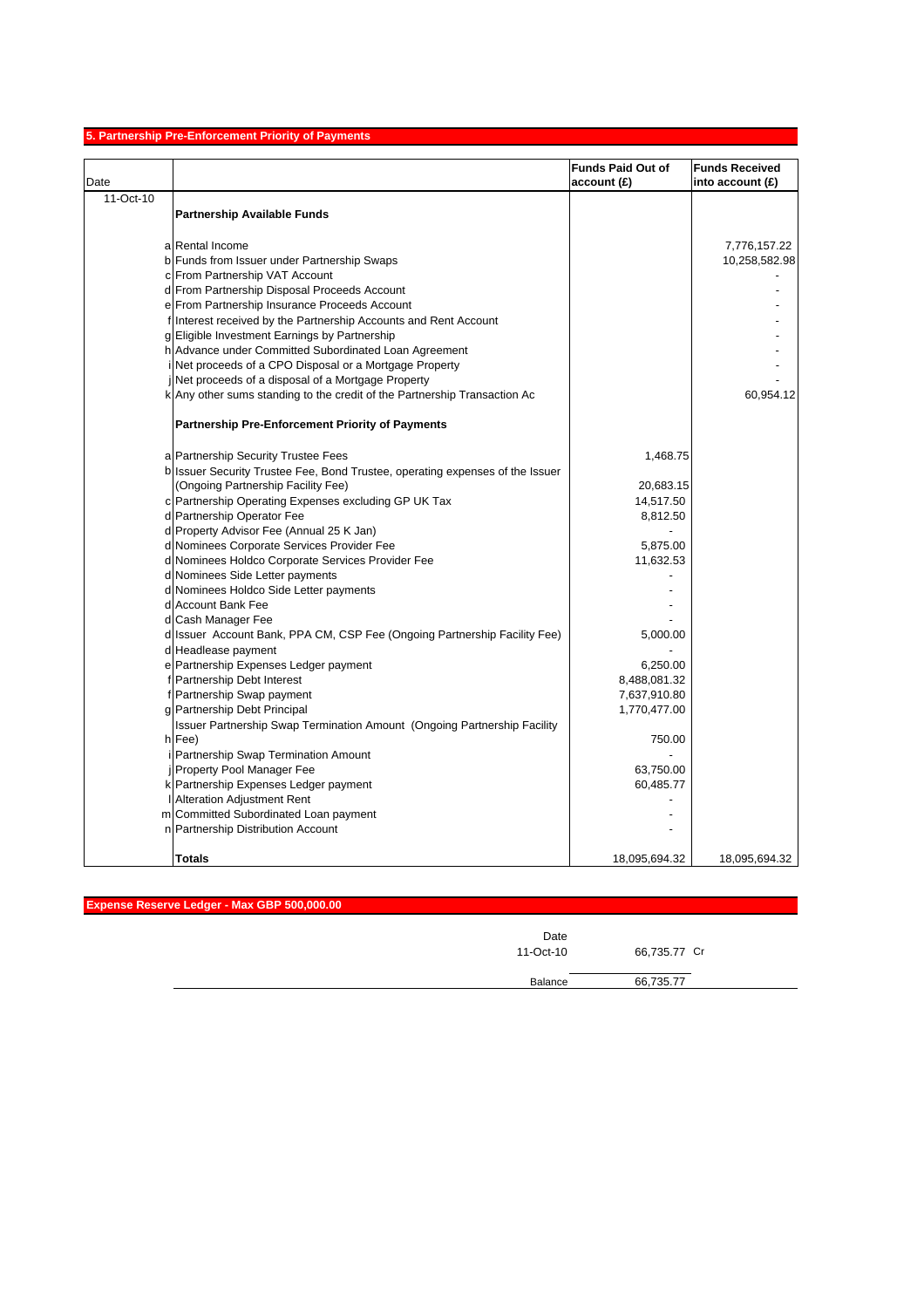# **5. Partnership Pre-Enforcement Priority of Payments**

| Date      |                                                                               | <b>Funds Paid Out of</b><br>account (£) | <b>Funds Received</b><br>into account (£) |
|-----------|-------------------------------------------------------------------------------|-----------------------------------------|-------------------------------------------|
| 11-Oct-10 |                                                                               |                                         |                                           |
|           | <b>Partnership Available Funds</b>                                            |                                         |                                           |
|           | a Rental Income                                                               |                                         | 7,776,157.22                              |
|           | b Funds from Issuer under Partnership Swaps                                   |                                         | 10,258,582.98                             |
|           | c From Partnership VAT Account                                                |                                         |                                           |
|           | d From Partnership Disposal Proceeds Account                                  |                                         |                                           |
|           | e From Partnership Insurance Proceeds Account                                 |                                         |                                           |
|           | f Interest received by the Partnership Accounts and Rent Account              |                                         |                                           |
|           | g Eligible Investment Earnings by Partnership                                 |                                         |                                           |
|           | h Advance under Committed Subordinated Loan Agreement                         |                                         |                                           |
|           | i Net proceeds of a CPO Disposal or a Mortgage Property                       |                                         |                                           |
|           | jNet proceeds of a disposal of a Mortgage Property                            |                                         |                                           |
|           | k Any other sums standing to the credit of the Partnership Transaction Ac     |                                         | 60,954.12                                 |
|           | <b>Partnership Pre-Enforcement Priority of Payments</b>                       |                                         |                                           |
|           | a Partnership Security Trustee Fees                                           | 1,468.75                                |                                           |
|           | b Issuer Security Trustee Fee, Bond Trustee, operating expenses of the Issuer |                                         |                                           |
|           | (Ongoing Partnership Facility Fee)                                            | 20,683.15                               |                                           |
|           | c Partnership Operating Expenses excluding GP UK Tax                          | 14,517.50                               |                                           |
|           | d Partnership Operator Fee                                                    | 8,812.50                                |                                           |
|           | d Property Advisor Fee (Annual 25 K Jan)                                      |                                         |                                           |
|           | d Nominees Corporate Services Provider Fee                                    | 5,875.00                                |                                           |
|           | d Nominees Holdco Corporate Services Provider Fee                             | 11,632.53                               |                                           |
|           | d Nominees Side Letter payments                                               |                                         |                                           |
|           | d Nominees Holdco Side Letter payments                                        |                                         |                                           |
|           | d Account Bank Fee                                                            |                                         |                                           |
|           | d Cash Manager Fee                                                            |                                         |                                           |
|           | d Issuer Account Bank, PPA CM, CSP Fee (Ongoing Partnership Facility Fee)     | 5,000.00                                |                                           |
|           | d Headlease payment                                                           |                                         |                                           |
|           | e Partnership Expenses Ledger payment                                         | 6.250.00                                |                                           |
|           | f Partnership Debt Interest                                                   | 8,488,081.32                            |                                           |
|           | f Partnership Swap payment                                                    | 7,637,910.80                            |                                           |
|           | g Partnership Debt Principal                                                  | 1,770,477.00                            |                                           |
|           | Issuer Partnership Swap Termination Amount (Ongoing Partnership Facility      |                                         |                                           |
|           | h Fee)                                                                        | 750.00                                  |                                           |
|           | i Partnership Swap Termination Amount                                         |                                         |                                           |
|           | <b>Property Pool Manager Fee</b>                                              | 63,750.00                               |                                           |
|           | k Partnership Expenses Ledger payment                                         | 60,485.77                               |                                           |
|           | I Alteration Adjustment Rent                                                  |                                         |                                           |
|           | m Committed Subordinated Loan payment                                         |                                         |                                           |
|           | n Partnership Distribution Account                                            |                                         |                                           |
|           | Totals                                                                        | 18,095,694.32                           | 18,095,694.32                             |

| Expense Reserve Ledger - Max GBP 500,000.00 |              |
|---------------------------------------------|--------------|
| Date<br>11-Oct-10                           | 66,735.77 Cr |
| Balance                                     | 66,735.77    |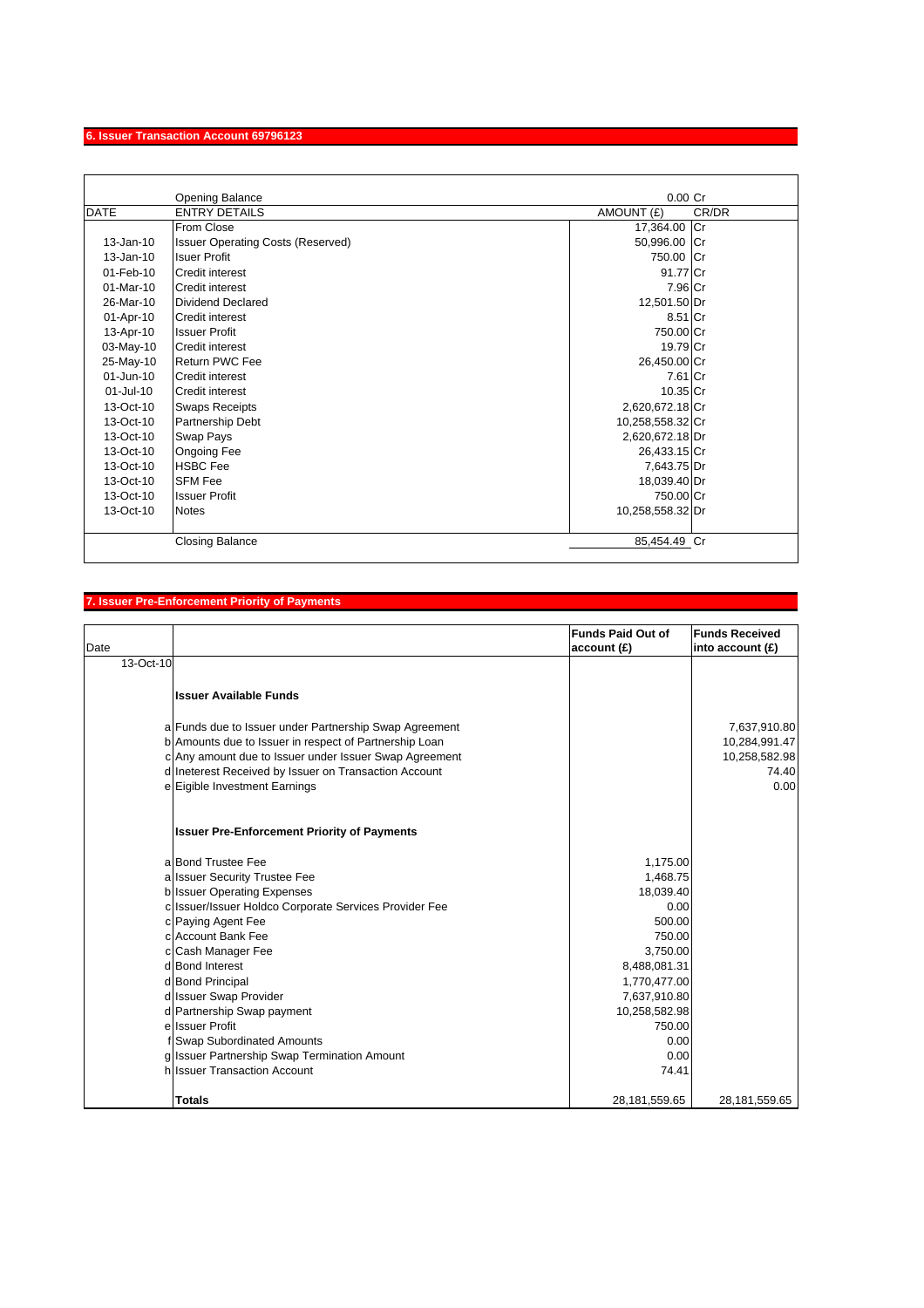# **6. Issuer Transaction Account 69796123**

|               | <b>Opening Balance</b>                   | $0.00$ Cr           |
|---------------|------------------------------------------|---------------------|
| <b>DATE</b>   | <b>ENTRY DETAILS</b>                     | CR/DR<br>AMOUNT (£) |
|               | From Close                               | 17,364.00 Cr        |
| 13-Jan-10     | <b>Issuer Operating Costs (Reserved)</b> | 50,996.00 Cr        |
| $13 - Jan-10$ | <b>Isuer Profit</b>                      | 750.00 Cr           |
| 01-Feb-10     | Credit interest                          | 91.77 Cr            |
| 01-Mar-10     | <b>Credit interest</b>                   | 7.96 Cr             |
| 26-Mar-10     | Dividend Declared                        | 12,501.50 Dr        |
| 01-Apr-10     | <b>Credit interest</b>                   | 8.51 Cr             |
| 13-Apr-10     | <b>Issuer Profit</b>                     | 750.00 Cr           |
| 03-May-10     | <b>Credit interest</b>                   | 19.79 Cr            |
| 25-May-10     | <b>Return PWC Fee</b>                    | 26,450.00 Cr        |
| 01-Jun-10     | <b>Credit interest</b>                   | 7.61 Cr             |
| $01 -$ Jul-10 | <b>Credit interest</b>                   | 10.35 Cr            |
| 13-Oct-10     | <b>Swaps Receipts</b>                    | 2,620,672.18 Cr     |
| $13-Oct-10$   | <b>Partnership Debt</b>                  | 10,258,558.32 Cr    |
| 13-Oct-10     | Swap Pays                                | 2,620,672.18 Dr     |
| 13-Oct-10     | Ongoing Fee                              | 26,433.15 Cr        |
| 13-Oct-10     | <b>HSBC</b> Fee                          | 7,643.75 Dr         |
| 13-Oct-10     | <b>SFM Fee</b>                           | 18,039.40 Dr        |
| 13-Oct-10     | <b>Issuer Profit</b>                     | 750.00 Cr           |
| 13-Oct-10     | <b>Notes</b>                             | 10,258,558.32 Dr    |
|               | <b>Closing Balance</b>                   | 85,454.49 Cr        |

## **7. Issuer Pre-Enforcement Priority of Payments**

| Date      |                                                        | <b>Funds Paid Out of</b><br>account(E) | <b>Funds Received</b><br>into account $(E)$ |
|-----------|--------------------------------------------------------|----------------------------------------|---------------------------------------------|
| 13-Oct-10 |                                                        |                                        |                                             |
|           | <b>Issuer Available Funds</b>                          |                                        |                                             |
|           | a Funds due to Issuer under Partnership Swap Agreement |                                        | 7,637,910.80                                |
|           | b Amounts due to Issuer in respect of Partnership Loan |                                        | 10,284,991.47                               |
|           | c Any amount due to Issuer under Issuer Swap Agreement |                                        | 10,258,582.98                               |
|           | d Ineterest Received by Issuer on Transaction Account  |                                        | 74.40                                       |
|           | e Eigible Investment Earnings                          |                                        | 0.00                                        |
|           | <b>Issuer Pre-Enforcement Priority of Payments</b>     |                                        |                                             |
|           | a Bond Trustee Fee                                     | 1,175.00                               |                                             |
|           | a Issuer Security Trustee Fee                          | 1,468.75                               |                                             |
|           | b Issuer Operating Expenses                            | 18,039.40                              |                                             |
|           | c Issuer/Issuer Holdco Corporate Services Provider Fee | 0.00                                   |                                             |
|           | c Paying Agent Fee                                     | 500.00                                 |                                             |
|           | c Account Bank Fee                                     | 750.00                                 |                                             |
|           | c Cash Manager Fee                                     | 3,750.00                               |                                             |
|           | d Bond Interest                                        | 8,488,081.31                           |                                             |
|           | d Bond Principal                                       | 1,770,477.00                           |                                             |
|           | d Issuer Swap Provider                                 | 7,637,910.80                           |                                             |
|           | d Partnership Swap payment                             | 10,258,582.98                          |                                             |
|           | e Issuer Profit                                        | 750.00                                 |                                             |
|           | f Swap Subordinated Amounts                            | 0.00                                   |                                             |
|           | g Issuer Partnership Swap Termination Amount           | 0.00                                   |                                             |
|           | h Issuer Transaction Account                           | 74.41                                  |                                             |
|           | <b>Totals</b>                                          | 28,181,559.65                          | 28,181,559.65                               |